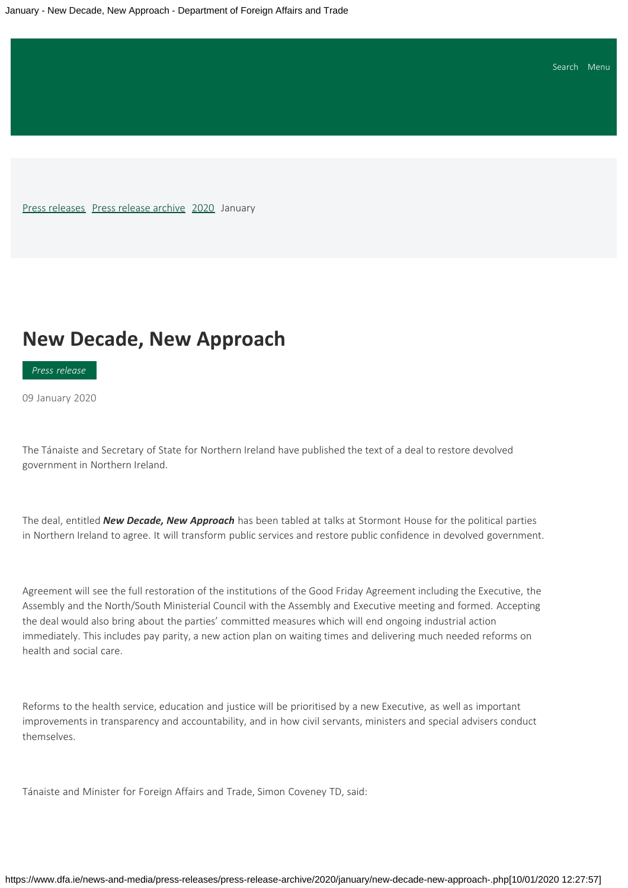<span id="page-0-0"></span>[Press releases](https://www.dfa.ie/news-and-media/press-releases/) [Press release archive](https://www.dfa.ie/news-and-media/press-releases/press-release-archive/) [2020](https://www.dfa.ie/news-and-media/press-releases/press-release-archive/2020/) January

# **New Decade, New Approach**

*Press release*

09 January 2020

The Tánaiste and Secretary of State for Northern Ireland have published the text of a deal to restore devolved government in Northern Ireland.

The deal, entitled *New Decade, New Approach* has been tabled at talks at Stormont House for the political parties in Northern Ireland to agree. It will transform public services and restore public confidence in devolved government.

Agreement will see the full restoration of the institutions of the Good Friday Agreement including the Executive, the Assembly and the North/South Ministerial Council with the Assembly and Executive meeting and formed. Accepting the deal would also bring about the parties' committed measures which will end ongoing industrial action immediately. This includes pay parity, a new action plan on waiting times and delivering much needed reforms on health and social care.

Reforms to the health service, education and justice will be prioritised by a new Executive, as well as important improvements in transparency and accountability, and in how civil servants, ministers and special advisers conduct themselves.

Tánaiste and Minister for Foreign Affairs and Trade, Simon Coveney TD, said: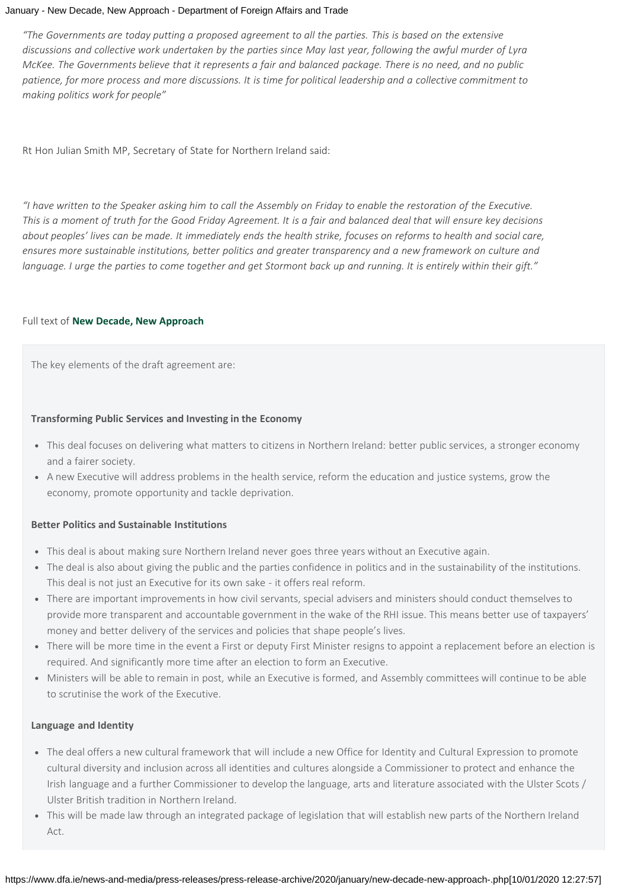#### January - New Decade, New Approach - Department of Foreign Affairs and Trade

*"The Governments are today putting a proposed agreement to all the parties. This is based on the extensive discussions and collective work undertaken by the parties since May last year, following the awful murder of Lyra McKee. The Governments believe that it represents a fair and balanced package. There is no need, and no public patience, for more process and more discussions. It is time for political leadership and a collective commitment to making politics work for people"*

Rt Hon Julian Smith MP, Secretary of State for Northern Ireland said:

*"I have written to the Speaker asking him to call the Assembly on Friday to enable the restoration of the Executive. This is a moment of truth for the Good Friday Agreement. It is a fair and balanced deal that will ensure key decisions about peoples' lives can be made. It immediately ends the health strike, focuses on reforms to health and social care, ensures more sustainable institutions, better politics and greater transparency and a new framework on culture and language. I urge the parties to come together and get Stormont back up and running. It is entirely within their gift."*

#### Full text of **[New Decade, New Approach](https://www.dfa.ie/media/dfa/newsmedia/pressrelease/New-Decade-New-Approach.pdf)**

The key elements of the draft agreement are:

#### **Transforming Public Services and Investing in the Economy**

- This deal focuses on delivering what matters to citizens in Northern Ireland: better public services, a stronger economy and a fairer society.
- A new Executive will address problems in the health service, reform the education and justice systems, grow the economy, promote opportunity and tackle deprivation.

#### **Better Politics and Sustainable Institutions**

- This deal is about making sure Northern Ireland never goes three years without an Executive again.
- The deal is also about giving the public and the parties confidence in politics and in the sustainability of the institutions. This deal is not just an Executive for its own sake - it offers real reform.
- There are important improvements in how civil servants, special advisers and ministers should conduct themselves to provide more transparent and accountable government in the wake of the RHI issue. This means better use of taxpayers' money and better delivery of the services and policies that shape people's lives.
- There will be more time in the event a First or deputy First Minister resigns to appoint a replacement before an election is required. And significantly more time after an election to form an Executive.
- Ministers will be able to remain in post, while an Executive is formed, and Assembly committees will continue to be able to scrutinise the work of the Executive.

### **Language and Identity**

- The deal offers a new cultural framework that will include a new Office for Identity and Cultural Expression to promote cultural diversity and inclusion across all identities and cultures alongside a Commissioner to protect and enhance the Irish language and a further Commissioner to develop the language, arts and literature associated with the Ulster Scots / Ulster British tradition in Northern Ireland.
- This will be made law through an integrated package of legislation that will establish new parts of the Northern Ireland Act.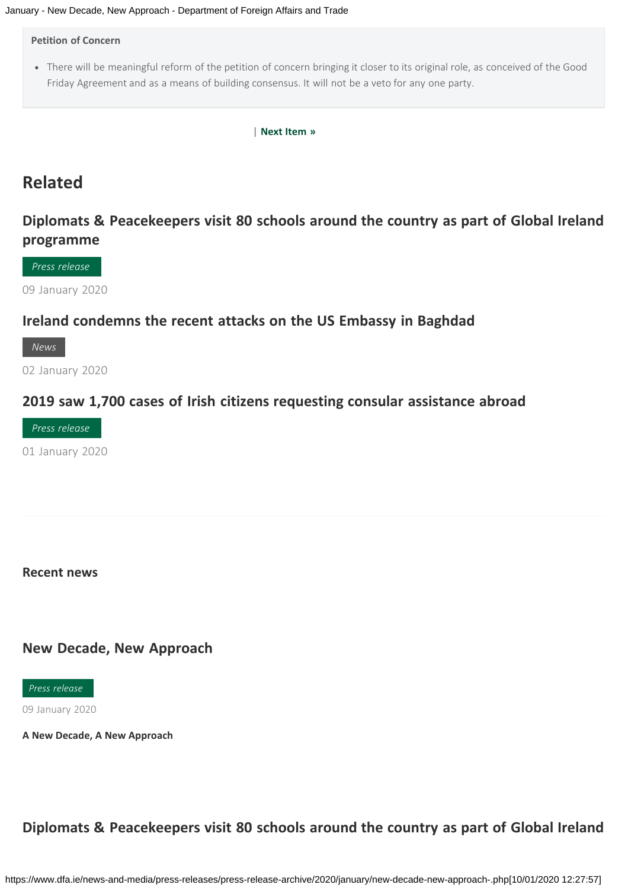#### **Petition of Concern**

There will be meaningful reform of the petition of concern bringing it closer to its original role, as conceived of the Good Friday Agreement and as a means of building consensus. It will not be a veto for any one party.

| **[Next Item](https://www.dfa.ie/news-and-media/press-releases/press-release-archive/2020/january/statement-by-ireland-on-developments-in-iran--iraq.php) »**

# **Related**

# **[Diplomats & Peacekeepers visit 80 schools around the country as part of Global Ireland](https://www.dfa.ie/news-and-media/press-releases/press-release-archive/2020/january/-diplomats--peacekeepers-visit-80-schools-around-the-country-as-part-of-global-ireland-programme.php) [programme](https://www.dfa.ie/news-and-media/press-releases/press-release-archive/2020/january/-diplomats--peacekeepers-visit-80-schools-around-the-country-as-part-of-global-ireland-programme.php)**

*Press release*

09 January 2020

### **[Ireland condemns the recent attacks on the US Embassy in Baghdad](https://www.dfa.ie/news-and-media/press-releases/press-release-archive/2020/january/ireland-condemns-the-recent-attacks-on-the-us-embassy-in-baghdad.php)**

*News*

02 January 2020

### **[2019 saw 1,700 cases of Irish citizens requesting consular assistance abroad](https://www.dfa.ie/news-and-media/press-releases/press-release-archive/2020/january/2019-saw-1700-cases-of-irish-citizens-requesting-consular-assistance-abroad-.php)**

*Press release*

01 January 2020

### **Recent news**

### **[New Decade, New Approach](#page-0-0)**

*Press release*

09 January 2020

**[A New Decade, A New Approach](#page-0-0)**

# **[Diplomats & Peacekeepers visit 80 schools around the country as part of Global Ireland](https://www.dfa.ie/news-and-media/press-releases/press-release-archive/2020/january/-diplomats--peacekeepers-visit-80-schools-around-the-country-as-part-of-global-ireland-programme.php)**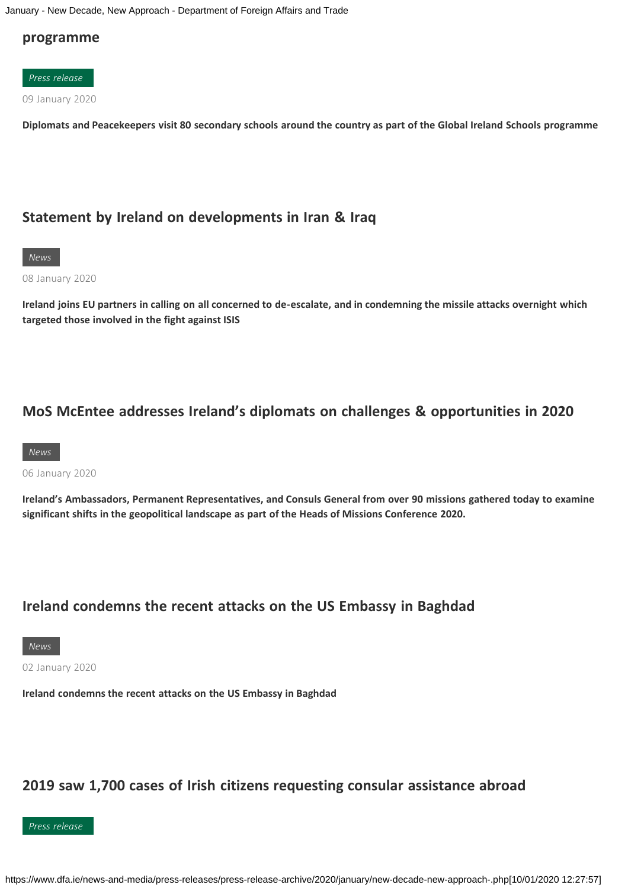January - New Decade, New Approach - Department of Foreign Affairs and Trade

### **[programme](https://www.dfa.ie/news-and-media/press-releases/press-release-archive/2020/january/-diplomats--peacekeepers-visit-80-schools-around-the-country-as-part-of-global-ireland-programme.php)**



**[Diplomats and Peacekeepers visit 80 secondary schools around the country as part of the Global Ireland Schools programme](https://www.dfa.ie/news-and-media/press-releases/press-release-archive/2020/january/-diplomats--peacekeepers-visit-80-schools-around-the-country-as-part-of-global-ireland-programme.php)**

## **[Statement by Ireland on developments in Iran & Iraq](https://www.dfa.ie/news-and-media/press-releases/press-release-archive/2020/january/statement-by-ireland-on-developments-in-iran--iraq.php)**



08 January 2020

**[Ireland joins EU partners in calling on all concerned to de-escalate, and in condemning the missile attacks overnight which](https://www.dfa.ie/news-and-media/press-releases/press-release-archive/2020/january/statement-by-ireland-on-developments-in-iran--iraq.php) [targeted those involved in the fight against ISIS](https://www.dfa.ie/news-and-media/press-releases/press-release-archive/2020/january/statement-by-ireland-on-developments-in-iran--iraq.php)**

## **[MoS McEntee addresses Ireland's diplomats on challenges & opportunities in 2020](https://www.dfa.ie/news-and-media/press-releases/press-release-archive/2020/january/mos-mcentee-addresses-irelands-diplomats-on-challenges--opportunities-in-2020.php)**



06 January 2020

**[Ireland's Ambassadors, Permanent Representatives, and Consuls General from over 90 missions gathered today to examine](https://www.dfa.ie/news-and-media/press-releases/press-release-archive/2020/january/mos-mcentee-addresses-irelands-diplomats-on-challenges--opportunities-in-2020.php) [significant shifts in the geopolitical landscape as part of the Heads of Missions Conference 2020.](https://www.dfa.ie/news-and-media/press-releases/press-release-archive/2020/january/mos-mcentee-addresses-irelands-diplomats-on-challenges--opportunities-in-2020.php)**

## **[Ireland condemns the recent attacks on the US Embassy in Baghdad](https://www.dfa.ie/news-and-media/press-releases/press-release-archive/2020/january/ireland-condemns-the-recent-attacks-on-the-us-embassy-in-baghdad.php)**

*News*

02 January 2020

**[Ireland condemns the recent attacks on the US Embassy in Baghdad](https://www.dfa.ie/news-and-media/press-releases/press-release-archive/2020/january/ireland-condemns-the-recent-attacks-on-the-us-embassy-in-baghdad.php)**

## **[2019 saw 1,700 cases of Irish citizens requesting consular assistance abroad](https://www.dfa.ie/news-and-media/press-releases/press-release-archive/2020/january/2019-saw-1700-cases-of-irish-citizens-requesting-consular-assistance-abroad-.php)**

*Press release*